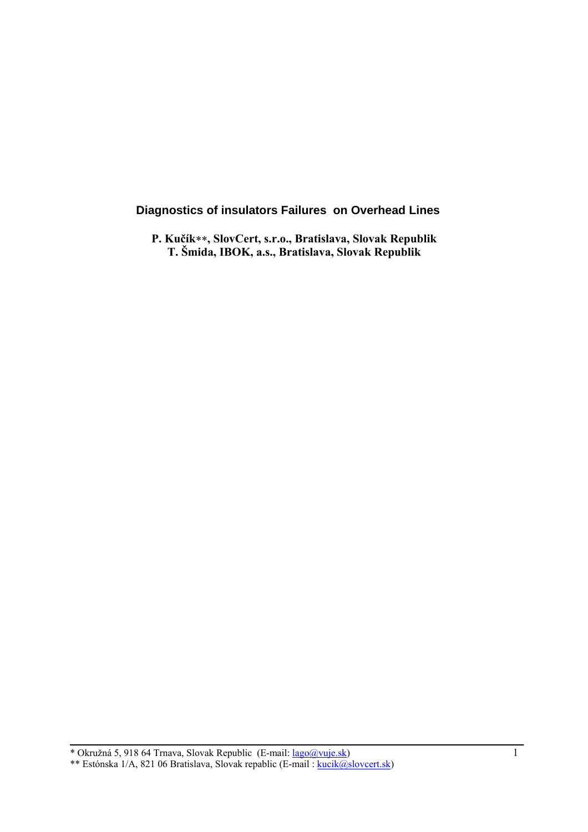# **Diagnostics of insulators Failures on Overhead Lines**

**P. Kučík**∗∗**, SlovCert, s.r.o., Bratislava, Slovak Republik T. Šmida, IBOK, a.s., Bratislava, Slovak Republik** 

<sup>\*</sup> Okružná 5, 918 64 Trnava, Slovak Republic (E-mail:  $lago@vuje.sh$ ) 1 \*\* Estónska 1/A, 821 06 Bratislava, Slovak repablic (E-mail : kucik@slovcert.sk)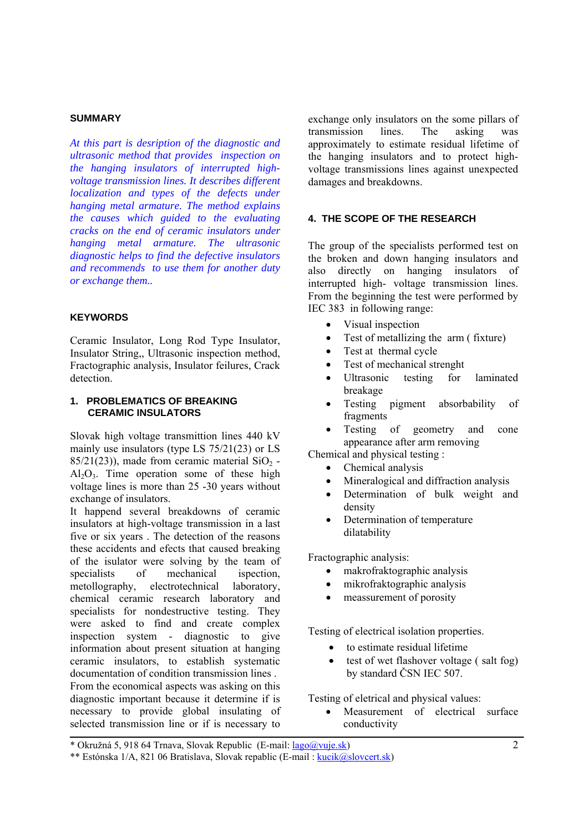#### **SUMMARY**

*At this part is desription of the diagnostic and ultrasonic method that provides inspection on the hanging insulators of interrupted highvoltage transmission lines. It describes different localization and types of the defects under hanging metal armature. The method explains the causes which guided to the evaluating cracks on the end of ceramic insulators under hanging metal armature. The ultrasonic diagnostic helps to find the defective insulators and recommends to use them for another duty or exchange them..* 

## **KEYWORDS**

Ceramic Insulator, Long Rod Type Insulator, Insulator String,, Ultrasonic inspection method, Fractographic analysis, Insulator feilures, Crack detection.

## **1. PROBLEMATICS OF BREAKING CERAMIC INSULATORS**

Slovak high voltage transmittion lines 440 kV mainly use insulators (type LS 75/21(23) or LS  $85/21(23)$ ), made from ceramic material SiO<sub>2</sub> - $Al_2O_3$ . Time operation some of these high voltage lines is more than 25 -30 years without exchange of insulators.

It happend several breakdowns of ceramic insulators at high-voltage transmission in a last five or six years . The detection of the reasons these accidents and efects that caused breaking of the isulator were solving by the team of specialists of mechanical ispection, metollography, electrotechnical laboratory, chemical ceramic research laboratory and specialists for nondestructive testing. They were asked to find and create complex inspection system - diagnostic to give information about present situation at hanging ceramic insulators, to establish systematic documentation of condition transmission lines . From the economical aspects was asking on this diagnostic important because it determine if is necessary to provide global insulating of selected transmission line or if is necessary to

exchange only insulators on the some pillars of transmission lines. The asking was approximately to estimate residual lifetime of the hanging insulators and to protect highvoltage transmissions lines against unexpected damages and breakdowns.

# **4. THE SCOPE OF THE RESEARCH**

The group of the specialists performed test on the broken and down hanging insulators and also directly on hanging insulators of interrupted high- voltage transmission lines. From the beginning the test were performed by IEC 383 in following range:

- Visual inspection
- Test of metallizing the arm ( fixture)
- Test at thermal cycle
- Test of mechanical strenght
- Ultrasonic testing for laminated breakage
- Testing pigment absorbability of fragments
- Testing of geometry and cone appearance after arm removing

Chemical and physical testing :

- Chemical analysis
- Mineralogical and diffraction analysis
- Determination of bulk weight and density
- Determination of temperature dilatability

Fractographic analysis:

- makrofraktographic analysis
- mikrofraktographic analysis
- meassurement of porosity

Testing of electrical isolation properties.

- to estimate residual lifetime
- test of wet flashover voltage (salt fog) by standard ČSN IEC 507.

Testing of eletrical and physical values:

Measurement of electrical surface conductivity

<sup>\*</sup> Okružná 5, 918 64 Trnava, Slovak Republic (E-mail:  $lago@vuje.sh$ ) 2

<sup>\*\*</sup> Estónska 1/A, 821 06 Bratislava, Slovak repablic (E-mail : kucik@slovcert.sk)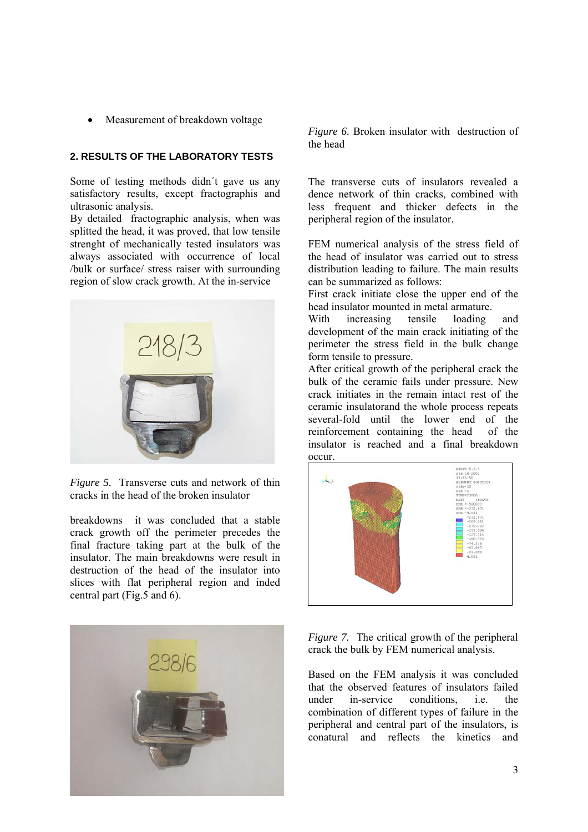• Measurement of breakdown voltage

# **2. RESULTS OF THE LABORATORY TESTS**

Some of testing methods didn´t gave us any satisfactory results, except fractographis and ultrasonic analysis.

By detailed fractographic analysis, when was splitted the head, it was proved, that low tensile strenght of mechanically tested insulators was always associated with occurrence of local /bulk or surface/ stress raiser with surrounding region of slow crack growth. At the in-service



*Figure 5.* Transverse cuts and network of thin cracks in the head of the broken insulator

breakdowns it was concluded that a stable crack growth off the perimeter precedes the final fracture taking part at the bulk of the insulator. The main breakdowns were result in destruction of the head of the insulator into slices with flat peripheral region and inded central part (Fig.5 and 6).



*Figure 6.* Broken insulator with destruction of the head

The transverse cuts of insulators revealed a dence network of thin cracks, combined with less frequent and thicker defects in the peripheral region of the insulator.

FEM numerical analysis of the stress field of the head of insulator was carried out to stress distribution leading to failure. The main results can be summarized as follows:

First crack initiate close the upper end of the head insulator mounted in metal armature.

With increasing tensile loading and development of the main crack initiating of the perimeter the stress field in the bulk change form tensile to pressure.

After critical growth of the peripheral crack the bulk of the ceramic fails under pressure. New crack initiates in the remain intact rest of the ceramic insulatorand the whole process repeats several-fold until the lower end of the reinforcement containing the head of the insulator is reached and a final breakdown occur.



*Figure 7.* The critical growth of the peripheral crack the bulk by FEM numerical analysis.

Based on the FEM analysis it was concluded that the observed features of insulators failed<br>under in-service conditions i.e. the under in-service conditions, i.e. the combination of different types of failure in the peripheral and central part of the insulators, is conatural and reflects the kinetics and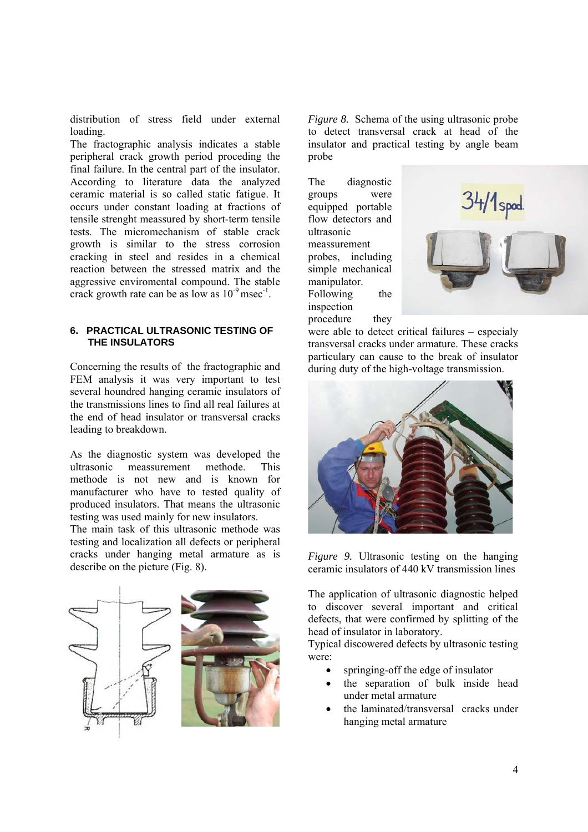distribution of stress field under external loading.

The fractographic analysis indicates a stable peripheral crack growth period proceding the final failure. In the central part of the insulator. According to literature data the analyzed ceramic material is so called static fatigue. It occurs under constant loading at fractions of tensile strenght meassured by short-term tensile tests. The micromechanism of stable crack growth is similar to the stress corrosion cracking in steel and resides in a chemical reaction between the stressed matrix and the aggressive enviromental compound. The stable crack growth rate can be as low as  $10^{-9}$  msec<sup>-1</sup>.

## **6. PRACTICAL ULTRASONIC TESTING OF THE INSULATORS**

Concerning the results of the fractographic and FEM analysis it was very important to test several houndred hanging ceramic insulators of the transmissions lines to find all real failures at the end of head insulator or transversal cracks leading to breakdown.

As the diagnostic system was developed the ultrasonic meassurement methode. This methode is not new and is known for manufacturer who have to tested quality of produced insulators. That means the ultrasonic testing was used mainly for new insulators.

The main task of this ultrasonic methode was testing and localization all defects or peripheral cracks under hanging metal armature as is describe on the picture (Fig. 8).

*Figure 8.* Schema of the using ultrasonic probe to detect transversal crack at head of the insulator and practical testing by angle beam probe

The diagnostic groups were equipped portable flow detectors and ultrasonic meassurement probes, including simple mechanical manipulator. Following the inspection procedure they



were able to detect critical failures – especialy transversal cracks under armature. These cracks particulary can cause to the break of insulator during duty of the high-voltage transmission.



*Figure 9.* Ultrasonic testing on the hanging ceramic insulators of 440 kV transmission lines

The application of ultrasonic diagnostic helped to discover several important and critical defects, that were confirmed by splitting of the head of insulator in laboratory.

Typical discowered defects by ultrasonic testing were:

- springing-off the edge of insulator
- the separation of bulk inside head under metal armature
- the laminated/transversal cracks under hanging metal armature